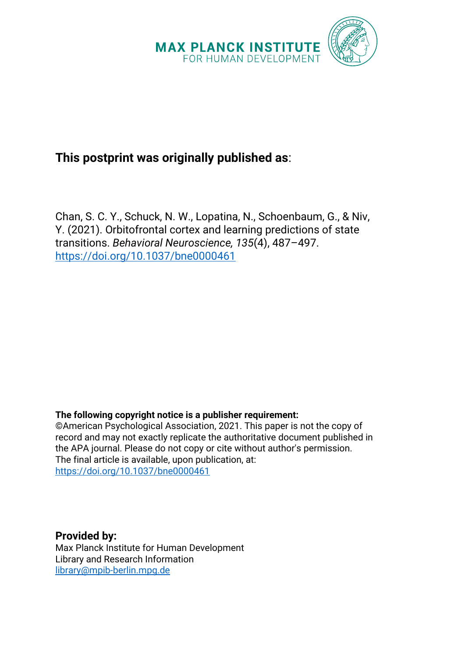

# **This postprint was originally published as**:

Chan, S. C. Y., Schuck, N. W., Lopatina, N., Schoenbaum, G., & Niv, Y. (2021). Orbitofrontal cortex and learning predictions of state transitions. *Behavioral Neuroscience, 135*(4), 487–497. <https://doi.org/10.1037/bne0000461>

## **The following copyright notice is a publisher requirement:**

©American Psychological Association, 2021. This paper is not the copy of record and may not exactly replicate the authoritative document published in the APA journal. Please do not copy or cite without author's permission. The final article is available, upon publication, at: https://doi.org/10.1037/bne0000461

**Provided by:** Max Planck Institute for Human Development Library and Research Information [library@mpib-berlin.mpg.de](mailto:library@mpib-berlin.mpg.de)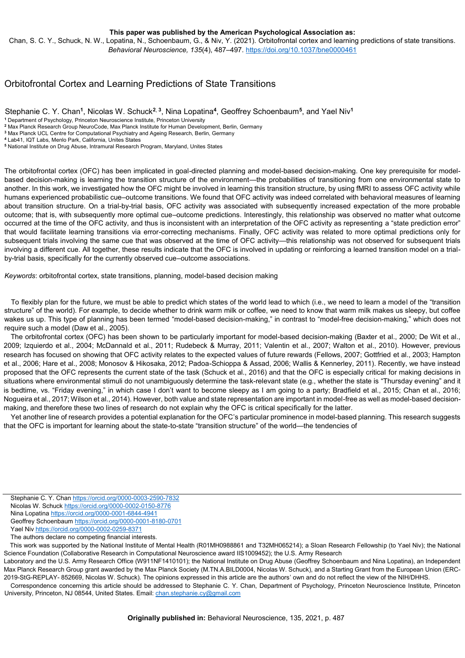**This paper was published by the American Psychological Association as:**

Chan, S. C. Y., Schuck, N. W., Lopatina, N., Schoenbaum, G., & Niv, Y. (2021). Orbitofrontal cortex and learning predictions of state transitions. *Behavioral Neuroscience, 135*(4), 487–497[. https://doi.org/10.1037/bne0000461](https://doi.org/10.1037/bne0000461)

## Orbitofrontal Cortex and Learning Predictions of State Transitions

Stephanie C. Y. Chan**<sup>1</sup>** , Nicolas W. Schuck**<sup>2</sup>**, **<sup>3</sup>** , Nina Lopatina**<sup>4</sup>** , Geoffrey Schoenbaum**<sup>5</sup>** , and Yael Niv**<sup>1</sup>**

**<sup>2</sup>** Max Planck Research Group NeuroCode, Max Planck Institute for Human Development, Berlin, Germany **<sup>3</sup>** Max Planck UCL Centre for Computational Psychiatry and Ageing Research, Berlin, Germany

**<sup>5</sup>** National Institute on Drug Abuse, Intramural Research Program, Maryland, Unites States

The orbitofrontal cortex (OFC) has been implicated in goal-directed planning and model-based decision-making. One key prerequisite for modelbased decision-making is learning the transition structure of the environment—the probabilities of transitioning from one environmental state to another. In this work, we investigated how the OFC might be involved in learning this transition structure, by using fMRI to assess OFC activity while humans experienced probabilistic cue–outcome transitions. We found that OFC activity was indeed correlated with behavioral measures of learning about transition structure. On a trial-by-trial basis, OFC activity was associated with subsequently increased expectation of the more probable outcome; that is, with subsequently more optimal cue–outcome predictions. Interestingly, this relationship was observed no matter what outcome occurred at the time of the OFC activity, and thus is inconsistent with an interpretation of the OFC activity as representing a "state prediction error" that would facilitate learning transitions via error-correcting mechanisms. Finally, OFC activity was related to more optimal predictions only for subsequent trials involving the same cue that was observed at the time of OFC activity—this relationship was not observed for subsequent trials involving a different cue. All together, these results indicate that the OFC is involved in updating or reinforcing a learned transition model on a trialby-trial basis, specifically for the currently observed cue–outcome associations.

*Keywords*: orbitofrontal cortex, state transitions, planning, model-based decision making

To flexibly plan for the future, we must be able to predict which states of the world lead to which (i.e., we need to learn a model of the "transition structure" of the world). For example, to decide whether to drink warm milk or coffee, we need to know that warm milk makes us sleepy, but coffee wakes us up. This type of planning has been termed "model-based decision-making," in contrast to "model-free decision-making," which does not require such a model (Daw et al., 2005).

The orbitofrontal cortex (OFC) has been shown to be particularly important for model-based decision-making (Baxter et al., 2000; De Wit et al., 2009; Izquierdo et al., 2004; McDannald et al., 2011; Rudebeck & Murray, 2011; Valentin et al., 2007; Walton et al., 2010). However, previous research has focused on showing that OFC activity relates to the expected values of future rewards (Fellows, 2007; Gottfried et al., 2003; Hampton et al., 2006; Hare et al., 2008; Monosov & Hikosaka, 2012; Padoa-Schioppa & Assad, 2006; Wallis & Kennerley, 2011). Recently, we have instead proposed that the OFC represents the current state of the task (Schuck et al., 2016) and that the OFC is especially critical for making decisions in situations where environmental stimuli do not unambiguously determine the task-relevant state (e.g., whether the state is "Thursday evening" and it is bedtime, vs. "Friday evening," in which case I don't want to become sleepy as I am going to a party; Bradfield et al., 2015; Chan et al., 2016; Nogueira et al., 2017; Wilson et al., 2014). However, both value and state representation are important in model-free as well as model-based decisionmaking, and therefore these two lines of research do not explain why the OFC is critical specifically for the latter.

Yet another line of research provides a potential explanation for the OFC's particular prominence in model-based planning. This research suggests that the OFC is important for learning about the state-to-state "transition structure" of the world—the tendencies of

Stephanie C. Y. Cha[n https://orcid.org/0000-0003-2590-7832](https://orcid.org/0000-0003-2590-7832) Nicolas W. Schuck <https://orcid.org/0000-0002-0150-8776> Nina Lopatina <https://orcid.org/0000-0001-6844-4941> Geoffrey Schoenbaum <https://orcid.org/0000-0001-8180-0701> Yael Ni[v https://orcid.org/0000-0002-0259-8371](https://orcid.org/0000-0002-0259-8371)

The authors declare no competing financial interests.

This work was supported by the National Institute of Mental Health (R01MH0988861 and T32MH065214); a Sloan Research Fellowship (to Yael Niv); the National Science Foundation (Collaborative Research in Computational Neuroscience award IIS1009452); the U.S. Army Research

Laboratory and the U.S. Army Research Office (W911NF1410101); the National Institute on Drug Abuse (Geoffrey Schoenbaum and Nina Lopatina), an Independent Max Planck Research Group grant awarded by the Max Planck Society (M.TN.A.BILD0004, Nicolas W. Schuck), and a Starting Grant from the European Union (ERC-2019-StG-REPLAY- 852669, Nicolas W. Schuck). The opinions expressed in this article are the authors' own and do not reflect the view of the NIH/DHHS.

Correspondence concerning this article should be addressed to Stephanie C. Y. Chan, Department of Psychology, Princeton Neuroscience Institute, Princeton University, Princeton, NJ 08544, United States. Email: [chan.stephanie.cy@gmail.com](mailto:chan.stephanie.cy@gmail.com)

**<sup>1</sup>** Department of Psychology, Princeton Neuroscience Institute, Princeton University

**<sup>4</sup>** Lab41, IQT Labs, Menlo Park, California, Unites States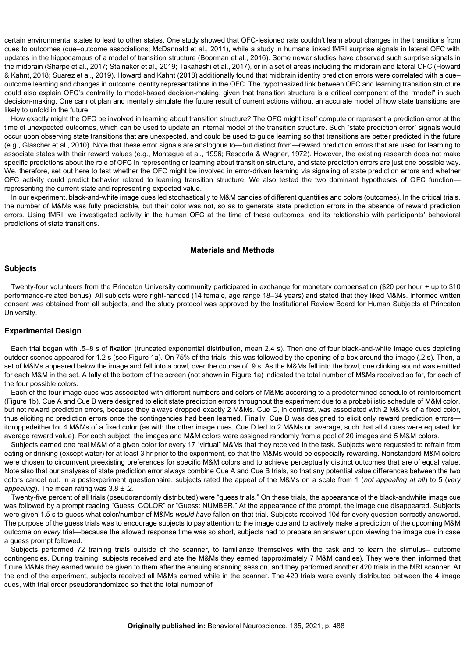certain environmental states to lead to other states. One study showed that OFC-lesioned rats couldn't learn about changes in the transitions from cues to outcomes (cue–outcome associations; McDannald et al., 2011), while a study in humans linked fMRI surprise signals in lateral OFC with updates in the hippocampus of a model of transition structure (Boorman et al., 2016). Some newer studies have observed such surprise signals in the midbrain (Sharpe et al., 2017; Stalnaker et al., 2019; Takahashi et al., 2017), or in a set of areas including the midbrain and lateral OFC (Howard & Kahnt, 2018; Suarez et al., 2019). Howard and Kahnt (2018) additionally found that midbrain identity prediction errors were correlated with a cue– outcome learning and changes in outcome identity representations in the OFC. The hypothesized link between OFC and learning transition structure could also explain OFC's centrality to model-based decision-making, given that transition structure is a critical component of the "model" in such decision-making. One cannot plan and mentally simulate the future result of current actions without an accurate model of how state transitions are likely to unfold in the future.

How exactly might the OFC be involved in learning about transition structure? The OFC might itself compute or represent a prediction error at the time of unexpected outcomes, which can be used to update an internal model of the transition structure. Such "state prediction error" signals would occur upon observing state transitions that are unexpected, and could be used to guide learning so that transitions are better predicted in the future (e.g., Glascher et al., 2010). Note that these error signals are analogous to—but distinct from—reward prediction errors that are used for learning to associate states with their reward values (e.g., Montague et al., 1996; Rescorla & Wagner, 1972). However, the existing research does not make specific predictions about the role of OFC in representing or learning about transition structure, and state prediction errors are just one possible way. We, therefore, set out here to test whether the OFC might be involved in error-driven learning via signaling of state prediction errors and whether OFC activity could predict behavior related to learning transition structure. We also tested the two dominant hypotheses of OFC function representing the current state and representing expected value.

In our experiment, black-and-white image cues led stochastically to M&M candies of different quantities and colors (outcomes). In the critical trials, the number of M&Ms was fully predictable, but their color was not, so as to generate state prediction errors in the absence of reward prediction errors. Using fMRI, we investigated activity in the human OFC at the time of these outcomes, and its relationship with participants' behavioral predictions of state transitions.

#### **Materials and Methods**

## **Subjects**

Twenty-four volunteers from the Princeton University community participated in exchange for monetary compensation (\$20 per hour + up to \$10 performance-related bonus). All subjects were right-handed (14 female, age range 18–34 years) and stated that they liked M&Ms. Informed written consent was obtained from all subjects, and the study protocol was approved by the Institutional Review Board for Human Subjects at Princeton University.

#### **Experimental Design**

Each trial began with .5–8 s of fixation (truncated exponential distribution, mean 2.4 s). Then one of four black-and-white image cues depicting outdoor scenes appeared for 1.2 s (see Figure 1a). On 75% of the trials, this was followed by the opening of a box around the image (.2 s). Then, a set of M&Ms appeared below the image and fell into a bowl, over the course of .9 s. As the M&Ms fell into the bowl, one clinking sound was emitted for each M&M in the set. A tally at the bottom of the screen (not shown in Figure 1a) indicated the total number of M&Ms received so far, for each of the four possible colors.

Each of the four image cues was associated with different numbers and colors of M&Ms according to a predetermined schedule of reinforcement (Figure 1b). Cue A and Cue B were designed to elicit state prediction errors throughout the experiment due to a probabilistic schedule of M&M color, but not reward prediction errors, because they always dropped exactly 2 M&Ms. Cue C, in contrast, was associated with 2 M&Ms of a fixed color, thus eliciting no prediction errors once the contingencies had been learned. Finally, Cue D was designed to elicit only reward prediction errors itdroppedeither1or 4 M&Ms of a fixed color (as with the other image cues, Cue D led to 2 M&Ms on average, such that all 4 cues were equated for average reward value). For each subject, the images and M&M colors were assigned randomly from a pool of 20 images and 5 M&M colors.

Subjects earned one real M&M of a given color for every 17 "virtual" M&Ms that they received in the task. Subjects were requested to refrain from eating or drinking (except water) for at least 3 hr prior to the experiment, so that the M&Ms would be especially rewarding. Nonstandard M&M colors were chosen to circumvent preexisting preferences for specific M&M colors and to achieve perceptually distinct outcomes that are of equal value. Note also that our analyses of state prediction error always combine Cue A and Cue B trials, so that any potential value differences between the two colors cancel out. In a postexperiment questionnaire, subjects rated the appeal of the M&Ms on a scale from 1 (*not appealing at all*) to 5 (*very appealing*). The mean rating was 3.8 ± .2.

Twenty-five percent of all trials (pseudorandomly distributed) were "guess trials." On these trials, the appearance of the black-andwhite image cue was followed by a prompt reading "Guess: COLOR" or "Guess: NUMBER." At the appearance of the prompt, the image cue disappeared. Subjects were given 1.5 s to guess what color/number of M&Ms *would have* fallen on that trial. Subjects received 10¢ for every question correctly answered. The purpose of the guess trials was to encourage subjects to pay attention to the image cue and to actively make a prediction of the upcoming M&M outcome on *every* trial—because the allowed response time was so short, subjects had to prepare an answer upon viewing the image cue in case a guess prompt followed.

Subjects performed 72 training trials outside of the scanner, to familiarize themselves with the task and to learn the stimulus– outcome contingencies. During training, subjects received and ate the M&Ms they earned (approximately 7 M&M candies). They were then informed that future M&Ms they earned would be given to them after the ensuing scanning session, and they performed another 420 trials in the MRI scanner. At the end of the experiment, subjects received all M&Ms earned while in the scanner. The 420 trials were evenly distributed between the 4 image cues, with trial order pseudorandomized so that the total number of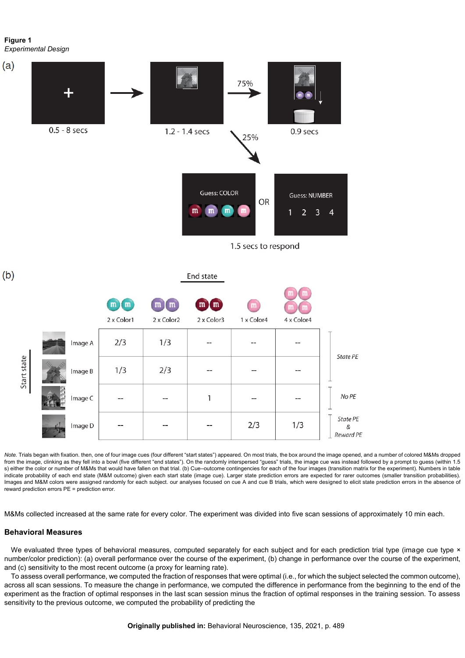**Figure 1** *Experimental Design*



*Note.* Trials began with fixation. then, one of four image cues (four different "start states") appeared. On most trials, the box around the image opened, and a number of colored M&Ms dropped from the image, clinking as they fell into a bowl (five different "end states"). On the randomly interspersed "guess" trials, the image cue was instead followed by a prompt to guess (within 1.5 s) either the color or number of M&Ms that would have fallen on that trial. (b) Cue-outcome contingencies for each of the four images (transition matrix for the experiment). Numbers in table indicate probability of each end state (M&M outcome) given each start state (image cue). Larger state prediction errors are expected for rarer outcomes (smaller transition probabilities). Images and M&M colors were assigned randomly for each subject. our analyses focused on cue A and cue B trials, which were designed to elicit state prediction errors in the absence of reward prediction errors PE = prediction error.

M&Ms collected increased at the same rate for every color. The experiment was divided into five scan sessions of approximately 10 min each.

#### **Behavioral Measures**

We evaluated three types of behavioral measures, computed separately for each subject and for each prediction trial type (image cue type  $\times$ number/color prediction): (a) overall performance over the course of the experiment, (b) change in performance over the course of the experiment, and (c) sensitivity to the most recent outcome (a proxy for learning rate).

To assess overall performance, we computed the fraction of responses that were optimal (i.e., for which the subject selected the common outcome), across all scan sessions. To measure the change in performance, we computed the difference in performance from the beginning to the end of the experiment as the fraction of optimal responses in the last scan session minus the fraction of optimal responses in the training session. To assess sensitivity to the previous outcome, we computed the probability of predicting the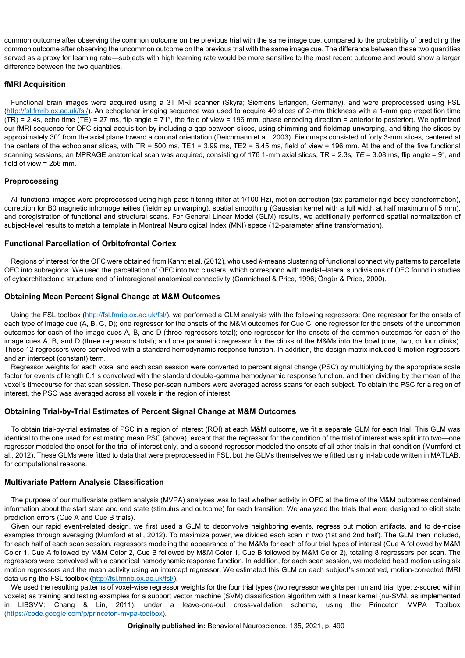common outcome after observing the common outcome on the previous trial with the same image cue, compared to the probability of predicting the common outcome after observing the uncommon outcome on the previous trial with the same image cue. The difference between these two quantities served as a proxy for learning rate—subjects with high learning rate would be more sensitive to the most recent outcome and would show a larger difference between the two quantities.

## **fMRI Acquisition**

Functional brain images were acquired using a 3T MRI scanner (Skyra; Siemens Erlangen, Germany), and were preprocessed using FSL [\(http://fsl.fmrib.ox.ac.uk/fsl/\)](http://fsl.fmrib.ox.ac.uk/fsl/). An echoplanar imaging sequence was used to acquire 40 slices of 2-mm thickness with a 1-mm gap (repetition time (TR) = 2.4s, echo time (TE) = 27 ms, flip angle = 71°, the field of view = 196 mm, phase encoding direction = anterior to posterior). We optimized our fMRI sequence for OFC signal acquisition by including a gap between slices, using shimming and fieldmap unwarping, and tilting the slices by approximately 30° from the axial plane toward a coronal orientation (Deichmann et al., 2003). Fieldmaps consisted of forty 3-mm slices, centered at the centers of the echoplanar slices, with TR = 500 ms, TE1 = 3.99 ms, TE2 = 6.45 ms, field of view = 196 mm. At the end of the five functional scanning sessions, an MPRAGE anatomical scan was acquired, consisting of 176 1-mm axial slices, TR = 2.3s, *TE* = 3.08 ms, flip angle = 9°, and field of view = 256 mm.

## **Preprocessing**

All functional images were preprocessed using high-pass filtering (filter at 1/100 Hz), motion correction (six-parameter rigid body transformation), correction for B0 magnetic inhomogeneities (fieldmap unwarping), spatial smoothing (Gaussian kernel with a full width at half maximum of 5 mm), and coregistration of functional and structural scans. For General Linear Model (GLM) results, we additionally performed spatial normalization of subject-level results to match a template in Montreal Neurological Index (MNI) space (12-parameter affine transformation).

## **Functional Parcellation of Orbitofrontal Cortex**

Regions of interest for the OFC were obtained from Kahnt et al. (2012), who used *k*-means clustering of functional connectivity patterns to parcellate OFC into subregions. We used the parcellation of OFC into two clusters, which correspond with medial–lateral subdivisions of OFC found in studies of cytoarchitectonic structure and of intraregional anatomical connectivity (Carmichael & Price, 1996; Öngür & Price, 2000).

## **Obtaining Mean Percent Signal Change at M&M Outcomes**

Using the FSL toolbox [\(http://fsl.fmrib.ox.ac.uk/fsl/\),](http://fsl.fmrib.ox.ac.uk/fsl/) we performed a GLM analysis with the following regressors: One regressor for the onsets of each type of image cue (A, B, C, D); one regressor for the onsets of the M&M outcomes for Cue C; one regressor for the onsets of the uncommon outcomes for each of the image cues A, B, and D (three regressors total); one regressor for the onsets of the common outcomes for each of the image cues A, B, and D (three regressors total); and one parametric regressor for the clinks of the M&Ms into the bowl (one, two, or four clinks). These 12 regressors were convolved with a standard hemodynamic response function. In addition, the design matrix included 6 motion regressors and an intercept (constant) term.

Regressor weights for each voxel and each scan session were converted to percent signal change (PSC) by multiplying by the appropriate scale factor for events of length 0.1 s convolved with the standard double-gamma hemodynamic response function, and then dividing by the mean of the voxel's timecourse for that scan session. These per-scan numbers were averaged across scans for each subject. To obtain the PSC for a region of interest, the PSC was averaged across all voxels in the region of interest.

## **Obtaining Trial-by-Trial Estimates of Percent Signal Change at M&M Outcomes**

To obtain trial-by-trial estimates of PSC in a region of interest (ROI) at each M&M outcome, we fit a separate GLM for each trial. This GLM was identical to the one used for estimating mean PSC (above), except that the regressor for the condition of the trial of interest was split into two—one regressor modeled the onset for the trial of interest only, and a second regressor modeled the onsets of all other trials in that condition (Mumford et al., 2012). These GLMs were fitted to data that were preprocessed in FSL, but the GLMs themselves were fitted using in-lab code written in MATLAB, for computational reasons.

## **Multivariate Pattern Analysis Classification**

The purpose of our multivariate pattern analysis (MVPA) analyses was to test whether activity in OFC at the time of the M&M outcomes contained information about the start state and end state (stimulus and outcome) for each transition. We analyzed the trials that were designed to elicit state prediction errors (Cue A and Cue B trials).

Given our rapid event-related design, we first used a GLM to deconvolve neighboring events, regress out motion artifacts, and to de-noise examples through averaging (Mumford et al., 2012). To maximize power, we divided each scan in two (1st and 2nd half). The GLM then included, for each half of each scan session, regressors modeling the appearance of the M&Ms for each of four trial types of interest (Cue A followed by M&M Color 1, Cue A followed by M&M Color 2, Cue B followed by M&M Color 1, Cue B followed by M&M Color 2), totaling 8 regressors per scan. The regressors were convolved with a canonical hemodynamic response function. In addition, for each scan session, we modeled head motion using six motion regressors and the mean activity using an intercept regressor. We estimated this GLM on each subject's smoothed, motion-corrected fMRI data using the FSL toolbox [\(http://fsl.fmrib.ox.ac.uk/fsl/\)](http://fsl.fmrib.ox.ac.uk/fsl/).

We used the resulting patterns of voxel-wise regressor weights for the four trial types (two regressor weights per run and trial type; *z*-scored within voxels) as training and testing examples for a support vector machine (SVM) classification algorithm with a linear kernel (nu-SVM, as implemented in LIBSVM; Chang & Lin, 2011), under a leave-one-out cross-validation scheme, using the Princeton MVPA Toolbox [\(https://code.google.com/p/princeton-mvpa-toolbox\)](https://code.google.com/p/princeton-mvpa-toolbox).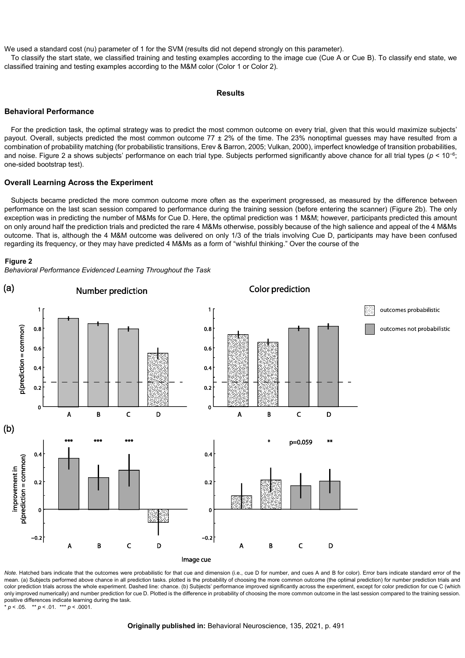We used a standard cost (nu) parameter of 1 for the SVM (results did not depend strongly on this parameter).

To classify the start state, we classified training and testing examples according to the image cue (Cue A or Cue B). To classify end state, we classified training and testing examples according to the M&M color (Color 1 or Color 2).

#### **Results**

#### **Behavioral Performance**

For the prediction task, the optimal strategy was to predict the most common outcome on every trial, given that this would maximize subjects' payout. Overall, subjects predicted the most common outcome  $77 \pm 2\%$  of the time. The 23% nonoptimal guesses may have resulted from a combination of probability matching (for probabilistic transitions, Erev & Barron, 2005; Vulkan, 2000), imperfect knowledge of transition probabilities, and noise. Figure 2 a shows subjects' performance on each trial type. Subjects performed significantly above chance for all trial types (*p* < 10−6; one-sided bootstrap test).

#### **Overall Learning Across the Experiment**

Subjects became predicted the more common outcome more often as the experiment progressed, as measured by the difference between performance on the last scan session compared to performance during the training session (before entering the scanner) (Figure 2b). The only exception was in predicting the number of M&Ms for Cue D. Here, the optimal prediction was 1 M&M; however, participants predicted this amount on only around half the prediction trials and predicted the rare 4 M&Ms otherwise, possibly because of the high salience and appeal of the 4 M&Ms outcome. That is, although the 4 M&M outcome was delivered on only 1/3 of the trials involving Cue D, participants may have been confused regarding its frequency, or they may have predicted 4 M&Ms as a form of "wishful thinking." Over the course of the

#### **Figure 2**

*Behavioral Performance Evidenced Learning Throughout the Task*



*Note*. Hatched bars indicate that the outcomes were probabilistic for that cue and dimension (i.e., cue D for number, and cues A and B for color). Error bars indicate standard error of the mean. (a) Subjects performed above chance in all prediction tasks, plotted is the probability of choosing the more common outcome (the optimal prediction) for number prediction trials and color prediction trials across the whole experiment. Dashed line: chance. (b) Subjects' performance improved significantly across the experiment, except for color prediction for cue C (which only improved numerically) and number prediction for cue D. Plotted is the difference in probability of choosing the more common outcome in the last session compared to the training session. positive differences indicate learning during the task \*  $p < .05$ . \*\*  $p < .01$ . \*\*\*  $p < .0001$ . \* *p* < .05. \*\* *p* < .01. \*\*\* *p* < .0001.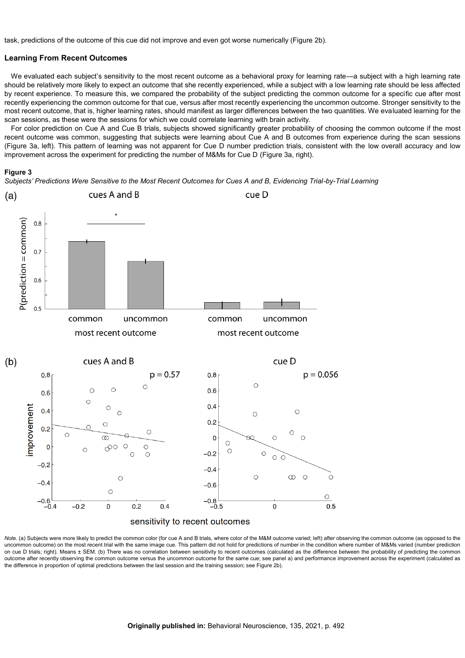task, predictions of the outcome of this cue did not improve and even got worse numerically (Figure 2b).

#### **Learning From Recent Outcomes**

We evaluated each subject's sensitivity to the most recent outcome as a behavioral proxy for learning rate—a subject with a high learning rate should be relatively more likely to expect an outcome that she recently experienced, while a subject with a low learning rate should be less affected by recent experience. To measure this, we compared the probability of the subject predicting the common outcome for a specific cue after most recently experiencing the common outcome for that cue, versus after most recently experiencing the uncommon outcome. Stronger sensitivity to the most recent outcome, that is, higher learning rates, should manifest as larger differences between the two quantities. We evaluated learning for the scan sessions, as these were the sessions for which we could correlate learning with brain activity.

For color prediction on Cue A and Cue B trials, subjects showed significantly greater probability of choosing the common outcome if the most recent outcome was common, suggesting that subjects were learning about Cue A and B outcomes from experience during the scan sessions (Figure 3a, left). This pattern of learning was not apparent for Cue D number prediction trials, consistent with the low overall accuracy and low improvement across the experiment for predicting the number of M&Ms for Cue D (Figure 3a, right).



*Subjects' Predictions Were Sensitive to the Most Recent Outcomes for Cues A and B, Evidencing Trial-by-Trial Learning*



Note. (a) Subjects were more likely to predict the common color (for cue A and B trials, where color of the M&M outcome varied; left) after observing the common outcome (as opposed to the uncommon outcome) on the most recent trial with the same image cue. This pattern did not hold for predictions of number in the condition where number of M&Ms varied (number prediction on cue D trials; right). Means ± SEM. (b) There was no correlation between sensitivity to recent outcomes (calculated as the difference between the probability of predicting the common outcome after recently observing the common outcome versus the uncommon outcome for the same cue; see panel a) and performance improvement across the experiment (calculated as the difference in proportion of optimal predictions between the last session and the training session; see Figure 2b).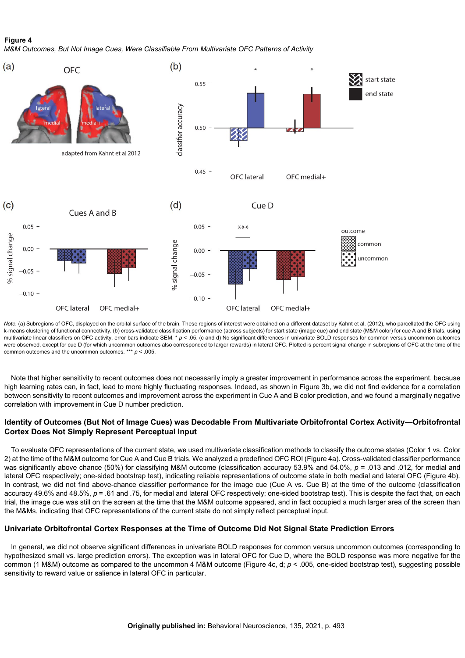## **Figure 4** *M&M Outcomes, But Not Image Cues, Were Classifiable From Multivariate OFC Patterns of Activity*



*Note.* (a) Subregions of OFC, displayed on the orbital surface of the brain. These regions of interest were obtained on a different dataset by Kahnt et al. (2012), who parcellated the OFC using k-means clustering of functional connectivity. (b) cross-validated classification performance (across subjects) for start state (image cue) and end state (M&M color) for cue A and B trials, using multivariate linear classifiers on OFC activity. error bars indicate SEM. \*  $p < .05$ . (c and d) No significant differences in univariate BOLD responses for common versus uncommon outcomes were observed, except for cue D (for which uncommon outcomes also corresponded to larger rewards) in lateral OFC. Plotted is percent signal change in subregions of OFC at the time of the common outcomes and the uncommon outcomes. \*\*\* *p* < .005.

Note that higher sensitivity to recent outcomes does not necessarily imply a greater improvement in performance across the experiment, because high learning rates can, in fact, lead to more highly fluctuating responses. Indeed, as shown in Figure 3b, we did not find evidence for a correlation between sensitivity to recent outcomes and improvement across the experiment in Cue A and B color prediction, and we found a marginally negative correlation with improvement in Cue D number prediction.

## **Identity of Outcomes (But Not of Image Cues) was Decodable From Multivariate Orbitofrontal Cortex Activity—Orbitofrontal Cortex Does Not Simply Represent Perceptual Input**

To evaluate OFC representations of the current state, we used multivariate classification methods to classify the outcome states (Color 1 vs. Color 2) at the time of the M&M outcome for Cue A and Cue B trials. We analyzed a predefined OFC ROI (Figure 4a). Cross-validated classifier performance was significantly above chance (50%) for classifying M&M outcome (classification accuracy 53.9% and 54.0%,  $p = .013$  and .012, for medial and lateral OFC respectively; one-sided bootstrap test), indicating reliable representations of outcome state in both medial and lateral OFC (Figure 4b). In contrast, we did not find above-chance classifier performance for the image cue (Cue A vs. Cue B) at the time of the outcome (classification accuracy 49.6% and 48.5%, *p* = .61 and .75, for medial and lateral OFC respectively; one-sided bootstrap test). This is despite the fact that, on each trial, the image cue was still on the screen at the time that the M&M outcome appeared, and in fact occupied a much larger area of the screen than the M&Ms, indicating that OFC representations of the current state do not simply reflect perceptual input.

## **Univariate Orbitofrontal Cortex Responses at the Time of Outcome Did Not Signal State Prediction Errors**

In general, we did not observe significant differences in univariate BOLD responses for common versus uncommon outcomes (corresponding to hypothesized small vs. large prediction errors). The exception was in lateral OFC for Cue D, where the BOLD response was more negative for the common (1 M&M) outcome as compared to the uncommon 4 M&M outcome (Figure 4c, d; *p* < .005, one-sided bootstrap test), suggesting possible sensitivity to reward value or salience in lateral OFC in particular.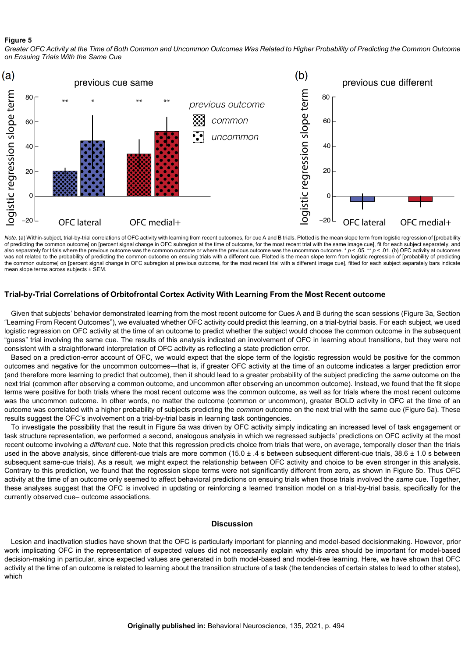#### **Figure 5**

*Greater OFC Activity at the Time of Both Common and Uncommon Outcomes Was Related to Higher Probability of Predicting the Common Outcome on Ensuing Trials With the Same Cue*



*Note*. (a) Within-subject, trial-by-trial correlations of OFC activity with learning from recent outcomes, for cue A and B trials. Plotted is the mean slope term from logistic regression of [probability of predicting the common outcome] on [percent signal change in OFC subregion at the time of outcome, for the most recent trial with the same image cue], fit for each subject separately, and also separately for trials where the previous outcome was the common outcome or where the previous outcome was the uncommon outcome. \* *p* < .05. \*\* *p* < .01. (b) OFC activity at outcomes was not related to the probability of predicting the common outcome on ensuing trials with a different cue. Plotted is the mean slope term from logistic regression of [probability of predicting the common outcome] on [percent signal change in OFC subregion at previous outcome, for the most recent trial with a different image cue], fitted for each subject separately bars indicate mean slope terms across subjects ± SEM.

## **Trial-by-Trial Correlations of Orbitofrontal Cortex Activity With Learning From the Most Recent outcome**

Given that subjects' behavior demonstrated learning from the most recent outcome for Cues A and B during the scan sessions (Figure 3a, Section "Learning From Recent Outcomes"), we evaluated whether OFC activity could predict this learning, on a trial-bytrial basis. For each subject, we used logistic regression on OFC activity at the time of an outcome to predict whether the subject would choose the common outcome in the subsequent "guess" trial involving the same cue. The results of this analysis indicated an involvement of OFC in learning about transitions, but they were not consistent with a straightforward interpretation of OFC activity as reflecting a state prediction error.

Based on a prediction-error account of OFC, we would expect that the slope term of the logistic regression would be positive for the common outcomes and negative for the uncommon outcomes—that is, if greater OFC activity at the time of an outcome indicates a larger prediction error (and therefore more learning to predict that outcome), then it should lead to a greater probability of the subject predicting the *same* outcome on the next trial (common after observing a common outcome, and uncommon after observing an uncommon outcome). Instead, we found that the fit slope terms were positive for both trials where the most recent outcome was the common outcome, as well as for trials where the most recent outcome was the uncommon outcome. In other words, no matter the outcome (common or uncommon), greater BOLD activity in OFC at the time of an outcome was correlated with a higher probability of subjects predicting the *common* outcome on the next trial with the same cue (Figure 5a). These results suggest the OFC's involvement on a trial-by-trial basis in learning task contingencies.

To investigate the possibility that the result in Figure 5a was driven by OFC activity simply indicating an increased level of task engagement or task structure representation, we performed a second, analogous analysis in which we regressed subjects' predictions on OFC activity at the most recent outcome involving a *different* cue. Note that this regression predicts choice from trials that were, on average, temporally closer than the trials used in the above analysis, since different-cue trials are more common (15.0 ± .4 s between subsequent different-cue trials, 38.6 ± 1.0 s between subsequent same-cue trials). As a result, we might expect the relationship between OFC activity and choice to be even stronger in this analysis. Contrary to this prediction, we found that the regression slope terms were not significantly different from zero, as shown in Figure 5b. Thus OFC activity at the time of an outcome only seemed to affect behavioral predictions on ensuing trials when those trials involved the *same* cue. Together, these analyses suggest that the OFC is involved in updating or reinforcing a learned transition model on a trial-by-trial basis, specifically for the currently observed cue– outcome associations.

#### **Discussion**

Lesion and inactivation studies have shown that the OFC is particularly important for planning and model-based decisionmaking. However, prior work implicating OFC in the representation of expected values did not necessarily explain why this area should be important for model-based decision-making in particular, since expected values are generated in both model-based and model-free learning. Here, we have shown that OFC activity at the time of an outcome is related to learning about the transition structure of a task (the tendencies of certain states to lead to other states), which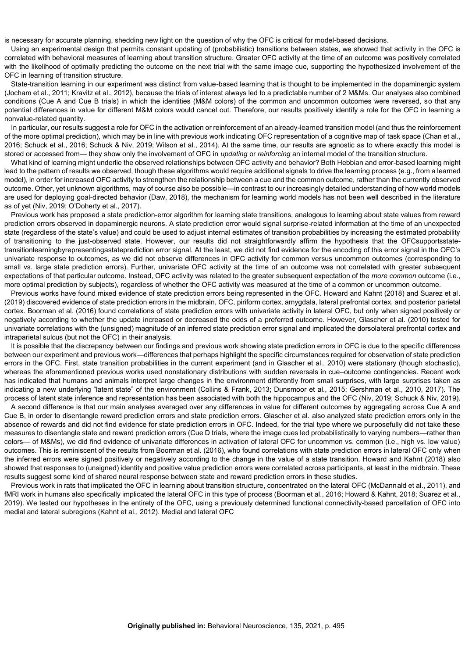is necessary for accurate planning, shedding new light on the question of why the OFC is critical for model-based decisions.

Using an experimental design that permits constant updating of (probabilistic) transitions between states, we showed that activity in the OFC is correlated with behavioral measures of learning about transition structure. Greater OFC activity at the time of an outcome was positively correlated with the likelihood of optimally predicting the outcome on the next trial with the same image cue, supporting the hypothesized involvement of the OFC in learning of transition structure.

State-transition learning in our experiment was distinct from value-based learning that is thought to be implemented in the dopaminergic system (Jocham et al., 2011; Kravitz et al., 2012), because the trials of interest always led to a predictable number of 2 M&Ms. Our analyses also combined conditions (Cue A and Cue B trials) in which the identities (M&M colors) of the common and uncommon outcomes were reversed, so that any potential differences in value for different M&M colors would cancel out. Therefore, our results positively identify a role for the OFC in learning a nonvalue-related quantity.

In particular, our results suggest a role for OFC in the activation or reinforcement of an already-learned transition model (and thus the reinforcement of the more optimal prediction), which may be in line with previous work indicating OFC representation of a cognitive map of task space (Chan et al., 2016; Schuck et al., 2016; Schuck & Niv, 2019; Wilson et al., 2014). At the same time, our results are agnostic as to where exactly this model is stored or accessed from— they show only the involvement of OFC in *updating* or *reinforcing* an internal model of the transition structure.

What kind of learning might underlie the observed relationships between OFC activity and behavior? Both Hebbian and error-based learning might lead to the pattern of results we observed, though these algorithms would require additional signals to drive the learning process (e.g., from a learned model), in order for increased OFC activity to strengthen the relationship between a cue and the common outcome, rather than the currently observed outcome. Other, yet unknown algorithms, may of course also be possible—in contrast to our increasingly detailed understanding of how world models are used for deploying goal-directed behavior (Daw, 2018), the mechanism for learning world models has not been well described in the literature as of yet (Niv, 2019; O'Doherty et al., 2017).

Previous work has proposed a state prediction-error algorithm for learning state transitions, analogous to learning about state values from reward prediction errors observed in dopaminergic neurons. A state prediction error would signal surprise-related information at the time of an unexpected state (regardless of the state's value) and could be used to adjust internal estimates of transition probabilities by increasing the estimated probability of transitioning to the just-observed state. However, our results did not straightforwardly affirm the hypothesis that the OFCsupportsstatetransitionlearningbyrepresentingastateprediction error signal. At the least, we did not find evidence for the encoding of this error signal in the OFC's univariate response to outcomes, as we did not observe differences in OFC activity for common versus uncommon outcomes (corresponding to small vs. large state prediction errors). Further, univariate OFC activity at the time of an outcome was not correlated with greater subsequent expectations of that particular outcome. Instead, OFC activity was related to the greater subsequent expectation of the *more common* outcome (i.e., more optimal prediction by subjects), regardless of whether the OFC activity was measured at the time of a common or uncommon outcome.

Previous works have found mixed evidence of state prediction errors being represented in the OFC. Howard and Kahnt (2018) and Suarez et al. (2019) discovered evidence of state prediction errors in the midbrain, OFC, piriform cortex, amygdala, lateral prefrontal cortex, and posterior parietal cortex. Boorman et al. (2016) found correlations of state prediction errors with univariate activity in lateral OFC, but only when signed positively or negatively according to whether the update increased or decreased the odds of a preferred outcome. However, Glascher et al. (2010) tested for univariate correlations with the (unsigned) magnitude of an inferred state prediction error signal and implicated the dorsolateral prefrontal cortex and intraparietal sulcus (but not the OFC) in their analysis.

It is possible that the discrepancy between our findings and previous work showing state prediction errors in OFC is due to the specific differences between our experiment and previous work—differences that perhaps highlight the specific circumstances required for observation of state prediction errors in the OFC. First, state transition probabilities in the current experiment (and in Glascher et al., 2010) were stationary (though stochastic), whereas the aforementioned previous works used nonstationary distributions with sudden reversals in cue–outcome contingencies. Recent work has indicated that humans and animals interpret large changes in the environment differently from small surprises, with large surprises taken as indicating a new underlying "latent state" of the environment (Collins & Frank, 2013; Dunsmoor et al., 2015; Gershman et al., 2010, 2017). The process of latent state inference and representation has been associated with both the hippocampus and the OFC (Niv, 2019; Schuck & Niv, 2019).

A second difference is that our main analyses averaged over any differences in value for different outcomes by aggregating across Cue A and Cue B, in order to disentangle reward prediction errors and state prediction errors. Glascher et al. also analyzed state prediction errors only in the absence of rewards and did not find evidence for state prediction errors in OFC. Indeed, for the trial type where we purposefully did not take these measures to disentangle state and reward prediction errors (Cue D trials, where the image cues led probabilistically to varying numbers—rather than colors— of M&Ms), we did find evidence of univariate differences in activation of lateral OFC for uncommon vs. common (i.e., high vs. low value) outcomes. This is reminiscent of the results from Boorman et al. (2016), who found correlations with state prediction errors in lateral OFC only when the inferred errors were signed positively or negatively according to the change in the value of a state transition. Howard and Kahnt (2018) also showed that responses to (unsigned) identity and positive value prediction errors were correlated across participants, at least in the midbrain. These results suggest some kind of shared neural response between state and reward prediction errors in these studies.

Previous work in rats that implicated the OFC in learning about transition structure, concentrated on the lateral OFC (McDannald et al., 2011), and fMRI work in humans also specifically implicated the lateral OFC in this type of process (Boorman et al., 2016; Howard & Kahnt, 2018; Suarez et al., 2019). We tested our hypotheses in the entirety of the OFC, using a previously determined functional connectivity-based parcellation of OFC into medial and lateral subregions (Kahnt et al., 2012). Medial and lateral OFC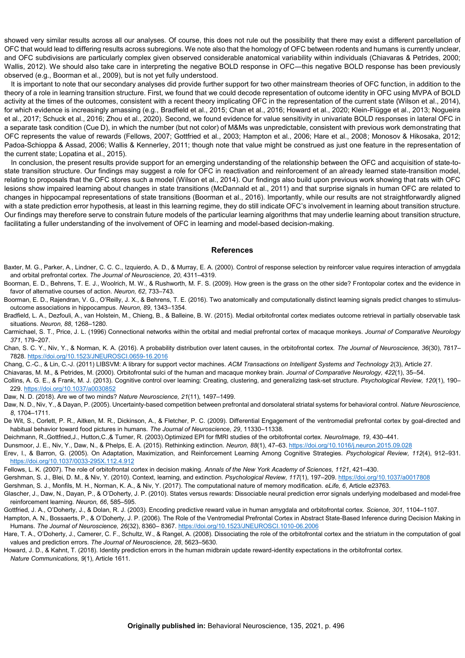showed very similar results across all our analyses. Of course, this does not rule out the possibility that there may exist a different parcellation of OFC that would lead to differing results across subregions. We note also that the homology of OFC between rodents and humans is currently unclear, and OFC subdivisions are particularly complex given observed considerable anatomical variability within individuals (Chiavaras & Petrides, 2000; Wallis, 2012). We should also take care in interpreting the negative BOLD response in OFC—this negative BOLD response has been previously observed (e.g., Boorman et al., 2009), but is not yet fully understood.

It is important to note that our secondary analyses did provide further support for two other mainstream theories of OFC function, in addition to the theory of a role in learning transition structure. First, we found that we could decode representation of outcome identity in OFC using MVPA of BOLD activity at the times of the outcomes, consistent with a recent theory implicating OFC in the representation of the current state (Wilson et al., 2014), for which evidence is increasingly amassing (e.g., Bradfield et al., 2015; Chan et al., 2016; Howard et al., 2020; Klein-Flügge et al., 2013; Nogueira et al., 2017; Schuck et al., 2016; Zhou et al., 2020). Second, we found evidence for value sensitivity in univariate BOLD responses in lateral OFC in a separate task condition (Cue D), in which the number (but not color) of M&Ms was unpredictable, consistent with previous work demonstrating that OFC represents the value of rewards (Fellows, 2007; Gottfried et al., 2003; Hampton et al., 2006; Hare et al., 2008; Monosov & Hikosaka, 2012; Padoa-Schioppa & Assad, 2006; Wallis & Kennerley, 2011; though note that value might be construed as just one feature in the representation of the current state; Lopatina et al., 2015).

In conclusion, the present results provide support for an emerging understanding of the relationship between the OFC and acquisition of state-tostate transition structure. Our findings may suggest a role for OFC in reactivation and reinforcement of an already learned state-transition model. relating to proposals that the OFC stores such a model (Wilson et al., 2014). Our findings also build upon previous work showing that rats with OFC lesions show impaired learning about changes in state transitions (McDannald et al., 2011) and that surprise signals in human OFC are related to changes in hippocampal representations of state transitions (Boorman et al., 2016). Importantly, while our results are not straightforwardly aligned with a state prediction error hypothesis, at least in this learning regime, they do still indicate OFC's involvement in learning about transition structure. Our findings may therefore serve to constrain future models of the particular learning algorithms that may underlie learning about transition structure, facilitating a fuller understanding of the involvement of OFC in learning and model-based decision-making.

#### **References**

- Baxter, M. G., Parker, A., Lindner, C. C. C., Izquierdo, A. D., & Murray, E. A. (2000). Control of response selection by reinforcer value requires interaction of amygdala and orbital prefrontal cortex. *The Journal of Neuroscience, 20*, 4311–4319.
- Boorman, E. D., Behrens, T. E. J., Woolrich, M. W., & Rushworth, M. F. S. (2009). How green is the grass on the other side? Frontopolar cortex and the evidence in favor of alternative courses of action. *Neuron, 62*, 733–743.
- Boorman, E. D., Rajendran, V. G., O'Reilly, J. X., & Behrens, T. E. (2016). Two anatomically and computationally distinct learning signals predict changes to stimulusoutcome associations in hippocampus. *Neuron, 89*, 1343–1354.
- Bradfield, L. A., Dezfouli, A., van Holstein, M., Chieng, B., & Balleine, B. W. (2015). Medial orbitofrontal cortex mediates outcome retrieval in partially observable task situations. *Neuron, 88*, 1268–1280.
- Carmichael, S. T., Price, J. L. (1996) Connectional networks within the orbital and medial prefrontal cortex of macaque monkeys. *Journal of Comparative Neurology 371*, 179–207.
- Chan, S. C. Y., Niv, Y., & Norman, K. A. (2016). A probability distribution over latent causes, in the orbitofrontal cortex. *The Journal of Neuroscience, 36*(30), 7817– 7828[. https://doi.org/10.1523/JNEUROSCI.0659-16.2016](https://doi.org/10.1523/JNEUROSCI.0659-16.2016)
- Chang, C.-C., & Lin, C.-J. (2011) LIBSVM: A library for support vector machines. *ACM Transactions on Intelligent Systems and Technology 2*(3), Article 27.

Chiavaras, M. M., & Petrides, M. (2000). Orbitofrontal sulci of the human and macaque monkey brain. *Journal of Comparative Neurology, 422*(1), 35–54.

- Collins, A. G. E., & Frank, M. J. (2013). Cognitive control over learning: Creating, clustering, and generalizing task-set structure. *Psychological Review, 120*(1), 190– 229.<https://doi.org/10.1037/a0030852>
- Daw, N. D. (2018). Are we of two minds? *Nature Neuroscience, 21*(11), 1497–1499.
- Daw, N. D., Niv, Y., & Dayan, P. (2005). Uncertainty-based competition between prefrontal and dorsolateral striatal systems for behavioral control. *Nature Neuroscience, 8*, 1704–1711.
- De Wit, S., Corlett, P. R., Aitken, M. R., Dickinson, A., & Fletcher, P. C. (2009). Differential Engagement of the ventromedial prefrontal cortex by goal-directed and habitual behavior toward food pictures in humans. *The Journal of Neuroscience, 29*, 11330–11338.
- Deichmann, R.,Gottfried,J., Hutton,C.,& Turner, R. (2003).Optimized EPI for fMRI studies of the orbitofrontal cortex. *NeuroImage, 19*, 430–441.
- Dunsmoor, J. E., Niv, Y., Daw, N., & Phelps, E. A. (2015). Rethinking extinction. *Neuron, 88*(1), 47–63[. https://doi.org/10.1016/j.neuron.2015.09.028](https://doi.org/10.1016/j.neuron.2015.09.028)
- Erev, I., & Barron, G. (2005). On Adaptation, Maximization, and Reinforcement Learning Among Cognitive Strategies. *Psychological Review, 112*(4), 912–931. <https://doi.org/10.1037/0033-295X.112.4.912>
- Fellows, L. K. (2007). The role of orbitofrontal cortex in decision making. *Annals of the New York Academy of Sciences, 1121*, 421–430.
- Gershman, S. J., Blei, D. M., & Niv, Y. (2010). Context, learning, and extinction. Psychological Review, 117(1), 197-209[. https://doi.org/10.1037/a0017808](https://doi.org/10.1037/a0017808)
- Gershman, S. J., Monfils, M. H., Norman, K. A., & Niv, Y. (2017). The computational nature of memory modification. *eLife, 6*, Article e23763.
- Glascher, J., Daw, N., Dayan, P., & O'Doherty, J. P. (2010). States versus rewards: Dissociable neural prediction error signals underlying modelbased and model-free reinforcement learning. *Neuron, 66*, 585–595.
- Gottfried, J. A., O'Doherty, J., & Dolan, R. J. (2003). Encoding predictive reward value in human amygdala and orbitofrontal cortex. *Science, 301*, 1104–1107.
- Hampton, A. N., Bossaerts, P., & O'Doherty, J. P. (2006). The Role of the Ventromedial Prefrontal Cortex in Abstract State-Based Inference during Decision Making in Humans. *The Journal of Neuroscience, 26*(32), 8360– 8367[. https://doi.org/10.1523/JNEUROSCI.1010-06.2006](https://doi.org/10.1523/JNEUROSCI.1010-06.2006)
- Hare, T. A., O'Doherty, J., Camerer, C. F., Schultz, W., & Rangel, A. (2008). Dissociating the role of the orbitofrontal cortex and the striatum in the computation of goal values and prediction errors. *The Journal of Neuroscience, 28*, 5623–5630.
- Howard, J. D., & Kahnt, T. (2018). Identity prediction errors in the human midbrain update reward-identity expectations in the orbitofrontal cortex. *Nature Communications, 9*(1), Article 1611.